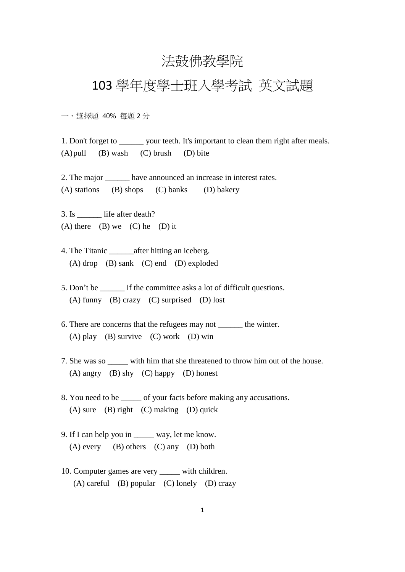## 法鼓佛教學院

## 103 學年度學士班入學考試 英文試題

一、選擇題 40% 每題 2 分

1. Don't forget to \_\_\_\_\_\_ your teeth. It's important to clean them right after meals.  $(A)$  pull  $(B)$  wash  $(C)$  brush  $(D)$  bite

2. The major have announced an increase in interest rates. (A) stations (B) shops (C) banks (D) bakery

3. Is life after death? (A) there (B) we (C) he (D) it

4. The Titanic after hitting an iceberg. (A) drop (B) sank (C) end (D) exploded

- 5. Don't be if the committee asks a lot of difficult questions. (A) funny (B) crazy (C) surprised (D) lost
- 6. There are concerns that the refugees may not the winter. (A) play (B) survive (C) work (D) win
- 7. She was so with him that she threatened to throw him out of the house. (A) angry (B) shy (C) happy (D) honest
- 8. You need to be  $\qquad$  of your facts before making any accusations.  $(A)$  sure  $(B)$  right  $(C)$  making  $(D)$  quick
- 9. If I can help you in \_\_\_\_\_ way, let me know.  $(A)$  every  $(B)$  others  $(C)$  any  $(D)$  both
- 10. Computer games are very \_\_\_\_\_ with children. (A) careful (B) popular (C) lonely (D) crazy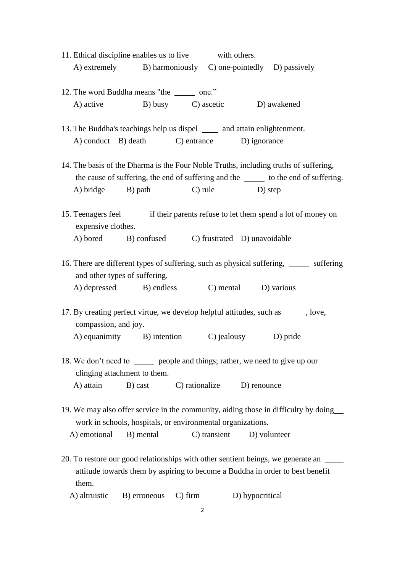- 11. Ethical discipline enables us to live with others. A) extremely B) harmoniously C) one-pointedly D) passively
- 12. The word Buddha means "the one." A) active B) busy C) ascetic D) awakened
- 13. The Buddha's teachings help us dispel \_\_\_\_\_\_ and attain enlightenment. A) conduct B) death C) entrance D) ignorance
- 14. The basis of the Dharma is the Four Noble Truths, including truths of suffering, the cause of suffering, the end of suffering and the to the end of suffering. A) bridge B) path C) rule D) step
- 15. Teenagers feel if their parents refuse to let them spend a lot of money on expensive clothes. A) bored B) confused C) frustrated D) unavoidable
- 16. There are different types of suffering, such as physical suffering, we suffering and other types of suffering. A) depressed B) endless C) mental D) various
- 17. By creating perfect virtue, we develop helpful attitudes, such as \_\_\_\_\_, love, compassion, and joy. A) equanimity B) intention C) jealousy D) pride
- 18. We don't need to <u>say</u> people and things; rather, we need to give up our clinging attachment to them. A) attain B) cast C) rationalize D) renounce
- 19. We may also offer service in the community, aiding those in difficulty by doing work in schools, hospitals, or environmental organizations.

A) emotional B) mental C) transient D) volunteer

- 20. To restore our good relationships with other sentient beings, we generate an attitude towards them by aspiring to become a Buddha in order to best benefit them.
	- A) altruistic B) erroneous C) firm D) hypocritical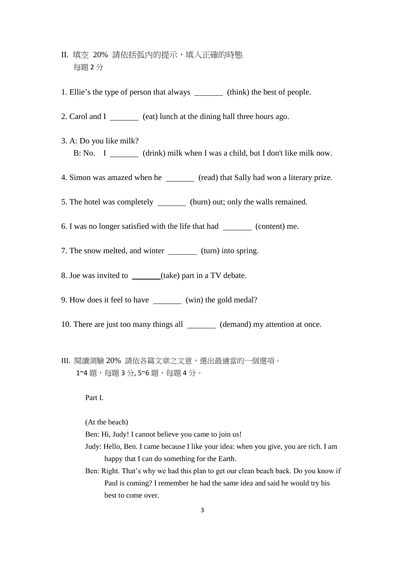- II. 填空 20% 請依括弧內的提示,填入正確的時態 每題 2 分
- 1. Ellie's the type of person that always (think) the best of people.
- 2. Carol and I (eat) lunch at the dining hall three hours ago.
- 3. A: Do you like milk? B: No. I (drink) milk when I was a child, but I don't like milk now.
- 4. Simon was amazed when he (read) that Sally had won a literary prize.
- 5. The hotel was completely (burn) out; only the walls remained.
- 6. I was no longer satisfied with the life that had (content) me.
- 7. The snow melted, and winter \_\_\_\_\_\_\_\_ (turn) into spring.
- 8. Joe was invited to (take) part in a TV debate.
- 9. How does it feel to have \_\_\_\_\_\_\_\_ (win) the gold medal?
- 10. There are just too many things all (demand) my attention at once.
- III. 閱讀測驗 20% 請依各篇文章之文意,選出最適當的一個選項。 1~4 題,每題 3分, 5~6 題,每題 4分。

Part I.

(At the beach)

Ben: Hi, Judy! I cannot believe you came to join us!

- Judy: Hello, Ben. I came because I like your idea: when you give, you are rich. I am happy that I can do something for the Earth.
- Ben: Right. That's why we had this plan to get our clean beach back. Do you know if Paul is coming? I remember he had the same idea and said he would try his best to come over.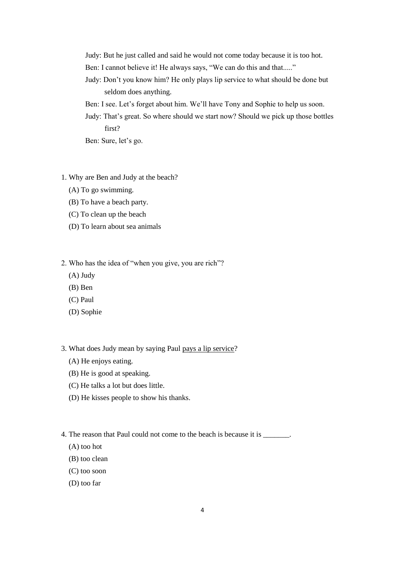- Judy: But he just called and said he would not come today because it is too hot.
- Ben: I cannot believe it! He always says, "We can do this and that....."
- Judy: Don't you know him? He only plays lip service to what should be done but seldom does anything.
- Ben: I see. Let's forget about him. We'll have Tony and Sophie to help us soon.
- Judy: That's great. So where should we start now? Should we pick up those bottles first?

Ben: Sure, let's go.

- 1. Why are Ben and Judy at the beach?
	- (A) To go swimming.
	- (B) To have a beach party.
	- (C) To clean up the beach
	- (D) To learn about sea animals
- 2. Who has the idea of "when you give, you are rich"?
	- (A) Judy
	- (B) Ben
	- (C) Paul
	- (D) Sophie
- 3. What does Judy mean by saying Paul pays a lip service?
	- (A) He enjoys eating.
	- (B) He is good at speaking.
	- (C) He talks a lot but does little.
	- (D) He kisses people to show his thanks.
- 4. The reason that Paul could not come to the beach is because it is \_\_\_\_\_\_\_.
	- (A) too hot
	- (B) too clean
	- (C) too soon
	- (D) too far